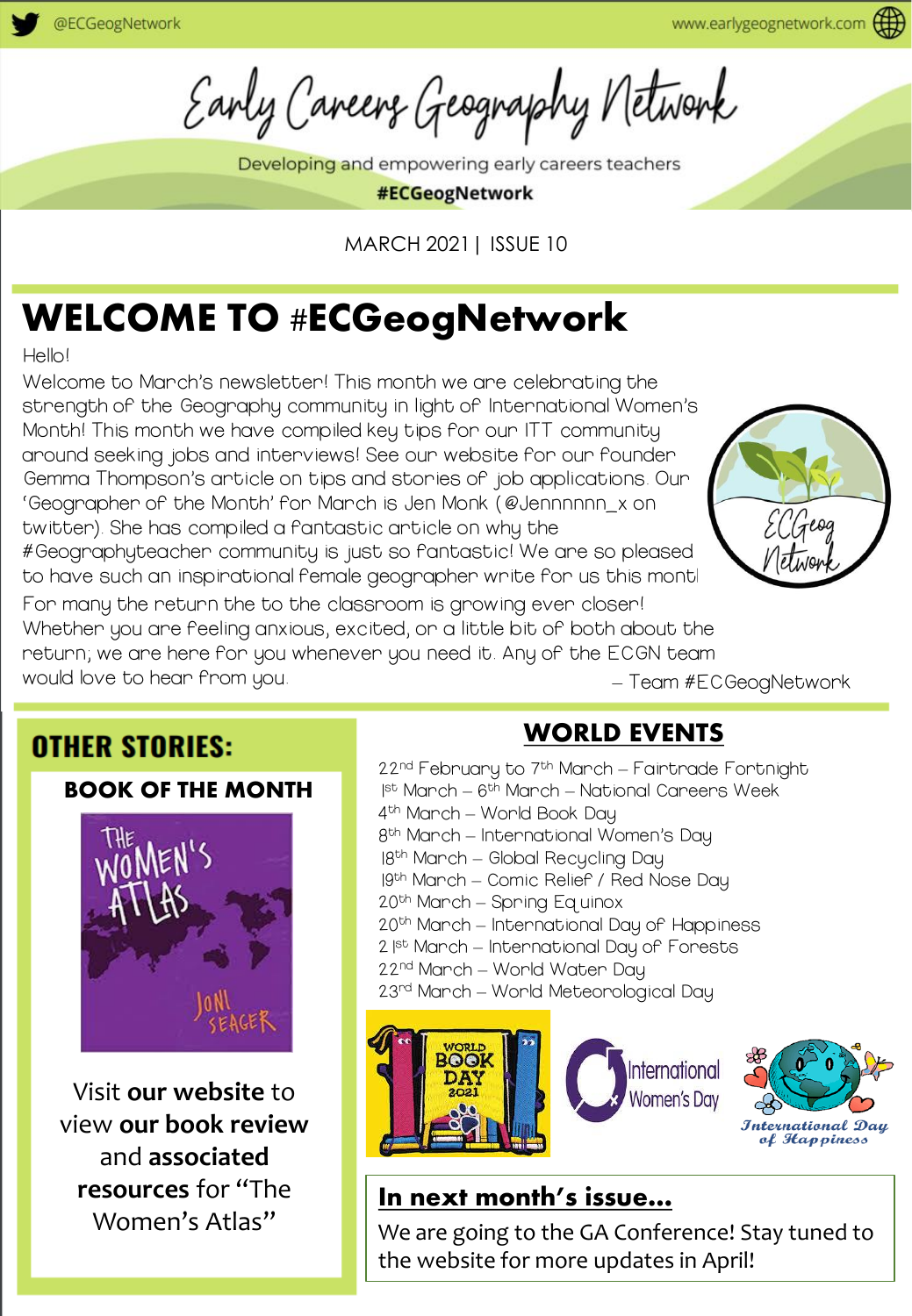Early Careers Geography Network

Developing and empowering early careers teachers

#ECGeogNetwork

MARCH 2021| ISSUE 10

# WELCOME TO #ECGeogNetwork

Hello!

Welcome to March's newsletter! This month we are celebrating the strength of the Geography community in light of International Women's Month! This month we have compiled key tips for our ITT community around seeking jobs and interviews! See our website for our founder Gemma Thompson's article on tips and stories of job applications. Our 'Geographer of the Month' for March is Jen Monk (@Jennnnnn\_x on twitter). She has compiled a fantastic article on why the #Geographyteacher community is just so fantastic! We are so pleased to have such an inspirational female geographer write for us this mont For many the return the to the classroom is growing ever closer!





## **OTHER STORIES:**

BOOK OF THE MONTH



Visit **our website** to view **our book review**  and **associated resources** for "The Women's Atlas"

## WORLD EVENTS

22<sup>nd</sup> February to 7<sup>th</sup> March – Fairtrade Fortnight 1 st March – 6 th March – National Careers Week 4<sup>th</sup> Manch — World Book Day 8<sup>th</sup> March - International Women's Day 18th March – Global Recycling Day 19th Manch – Comic Relief / Red Nose Day 20th March – Spring Equinox 20<sup>th</sup> March – International Day of Happiness 2<sup>|st</sup> March – International Day of Forests 22nd March – World Water Day 23<sup>rd</sup> Manch – World Meteorological Day





#### In next month's issue…

We are going to the GA Conference! Stay tuned to the website for more updates in April!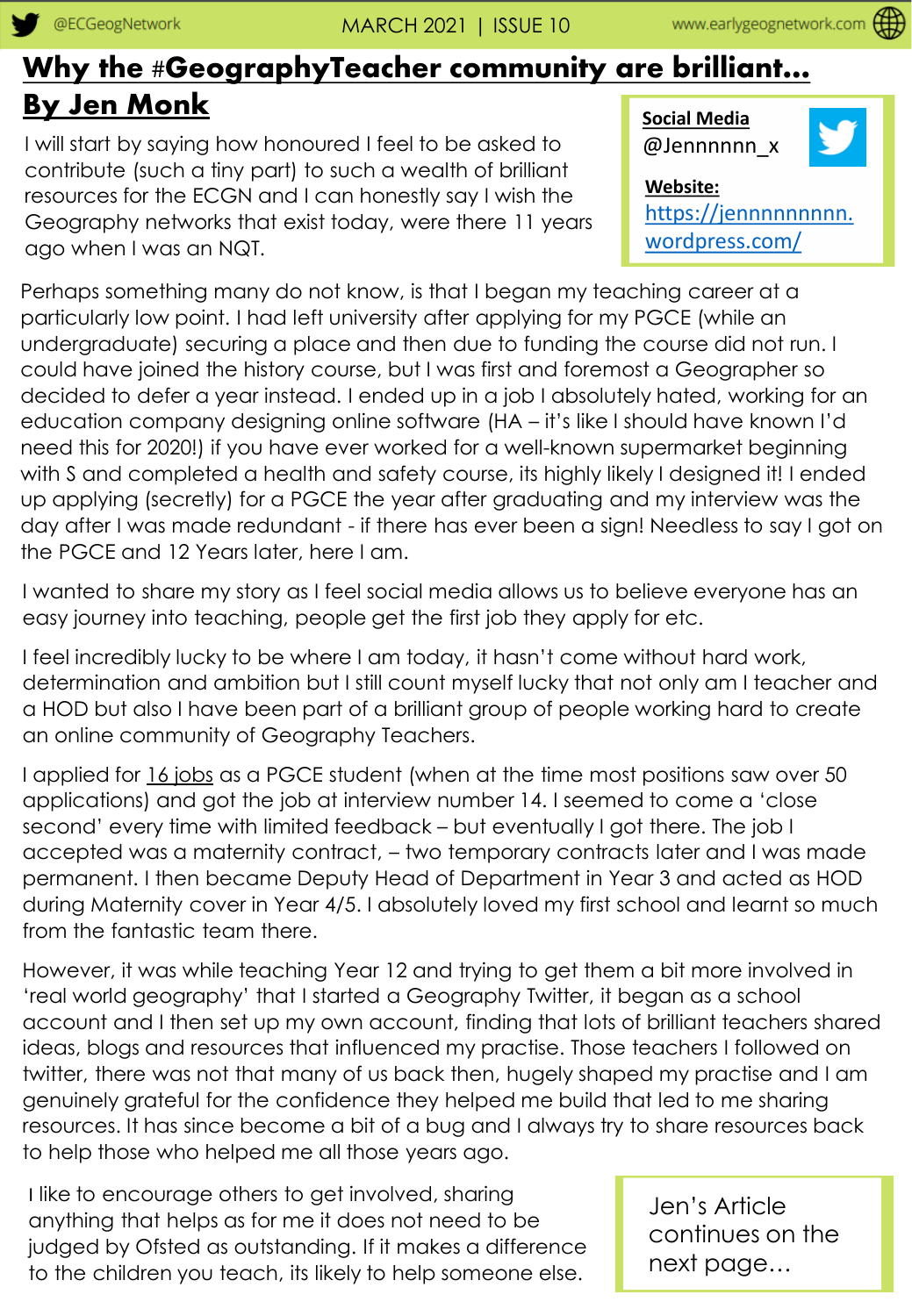## **Why the #GeographyTeacher community are brilliant… By Jen Monk** Social Media

I will start by saying how honoured I feel to be asked to contribute (such a tiny part) to such a wealth of brilliant resources for the ECGN and I can honestly say I wish the Geography networks that exist today, were there 11 years ago when I was an NQT.

@Jennnnnn\_x



**Website:** [https://jennnnnnnnn.](https://jennnnnnnnn.wordpress.com/) wordpress.com/

Perhaps something many do not know, is that I began my teaching career at a particularly low point. I had left university after applying for my PGCE (while an undergraduate) securing a place and then due to funding the course did not run. I could have joined the history course, but I was first and foremost a Geographer so decided to defer a year instead. I ended up in a job I absolutely hated, working for an education company designing online software (HA – it's like I should have known I'd need this for 2020!) if you have ever worked for a well-known supermarket beginning with S and completed a health and safety course, its highly likely I designed it! I ended up applying (secretly) for a PGCE the year after graduating and my interview was the day after I was made redundant - if there has ever been a sign! Needless to say I got on the PGCE and 12 Years later, here I am.

I wanted to share my story as I feel social media allows us to believe everyone has an easy journey into teaching, people get the first job they apply for etc.

I feel incredibly lucky to be where I am today, it hasn't come without hard work, determination and ambition but I still count myself lucky that not only am I teacher and a HOD but also I have been part of a brilliant group of people working hard to create an online community of Geography Teachers.

I applied for 16 jobs as a PGCE student (when at the time most positions saw over 50 applications) and got the job at interview number 14. I seemed to come a 'close second' every time with limited feedback – but eventually I got there. The job I accepted was a maternity contract, – two temporary contracts later and I was made permanent. I then became Deputy Head of Department in Year 3 and acted as HOD during Maternity cover in Year 4/5. I absolutely loved my first school and learnt so much from the fantastic team there.

However, it was while teaching Year 12 and trying to get them a bit more involved in 'real world geography' that I started a Geography Twitter, it began as a school account and I then set up my own account, finding that lots of brilliant teachers shared ideas, blogs and resources that influenced my practise. Those teachers I followed on twitter, there was not that many of us back then, hugely shaped my practise and I am genuinely grateful for the confidence they helped me build that led to me sharing resources. It has since become a bit of a bug and I always try to share resources back to help those who helped me all those years ago.

I like to encourage others to get involved, sharing anything that helps as for me it does not need to be judged by Ofsted as outstanding. If it makes a difference to the children you teach, its likely to help someone else.

Jen's Article continues on the next page…